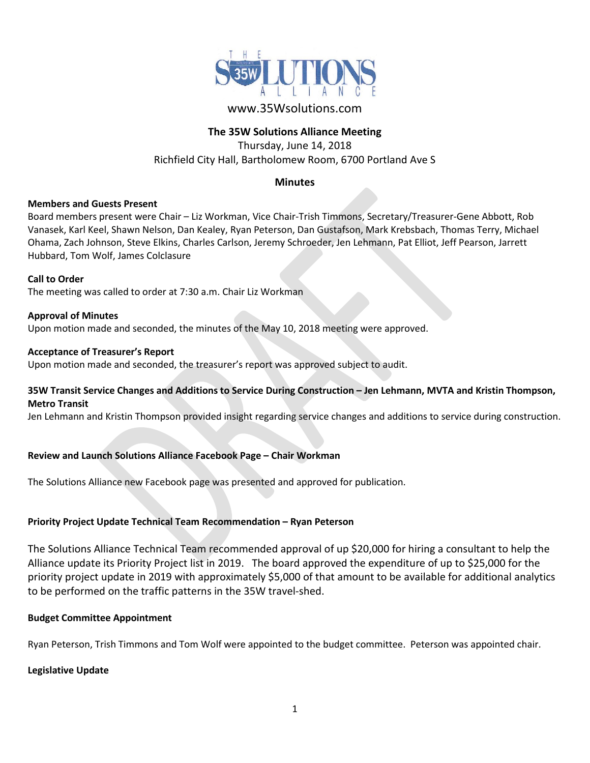

# www.35Wsolutions.com

## **The 35W Solutions Alliance Meeting**

Thursday, June 14, 2018 Richfield City Hall, Bartholomew Room, 6700 Portland Ave S

#### **Minutes**

#### **Members and Guests Present**

Board members present were Chair – Liz Workman, Vice Chair-Trish Timmons, Secretary/Treasurer-Gene Abbott, Rob Vanasek, Karl Keel, Shawn Nelson, Dan Kealey, Ryan Peterson, Dan Gustafson, Mark Krebsbach, Thomas Terry, Michael Ohama, Zach Johnson, Steve Elkins, Charles Carlson, Jeremy Schroeder, Jen Lehmann, Pat Elliot, Jeff Pearson, Jarrett Hubbard, Tom Wolf, James Colclasure

**Call to Order** The meeting was called to order at 7:30 a.m. Chair Liz Workman

**Approval of Minutes** Upon motion made and seconded, the minutes of the May 10, 2018 meeting were approved.

#### **Acceptance of Treasurer's Report**

Upon motion made and seconded, the treasurer's report was approved subject to audit.

### **35W Transit Service Changes and Additions to Service During Construction – Jen Lehmann, MVTA and Kristin Thompson, Metro Transit**

Jen Lehmann and Kristin Thompson provided insight regarding service changes and additions to service during construction.

#### **Review and Launch Solutions Alliance Facebook Page – Chair Workman**

The Solutions Alliance new Facebook page was presented and approved for publication.

#### **Priority Project Update Technical Team Recommendation – Ryan Peterson**

The Solutions Alliance Technical Team recommended approval of up \$20,000 for hiring a consultant to help the Alliance update its Priority Project list in 2019. The board approved the expenditure of up to \$25,000 for the priority project update in 2019 with approximately \$5,000 of that amount to be available for additional analytics to be performed on the traffic patterns in the 35W travel-shed.

#### **Budget Committee Appointment**

Ryan Peterson, Trish Timmons and Tom Wolf were appointed to the budget committee. Peterson was appointed chair.

#### **Legislative Update**